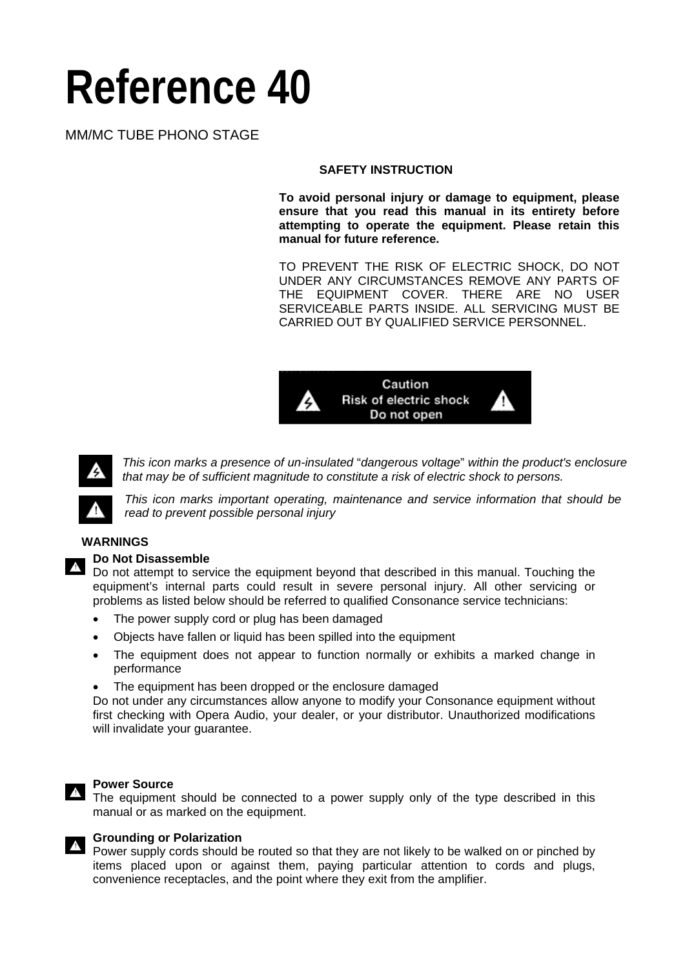# **Reference 40**

# MM/MC TUBE PHONO STAGE

#### **SAFETY INSTRUCTION**

**To avoid personal injury or damage to equipment, please ensure that you read this manual in its entirety before attempting to operate the equipment. Please retain this manual for future reference.** 

TO PREVENT THE RISK OF ELECTRIC SHOCK, DO NOT UNDER ANY CIRCUMSTANCES REMOVE ANY PARTS OF THE EQUIPMENT COVER. THERE ARE NO USER SERVICEABLE PARTS INSIDE. ALL SERVICING MUST BE CARRIED OUT BY QUALIFIED SERVICE PERSONNEL.





*This icon marks a presence of un-insulated* "*dangerous voltage*" *within the product's enclosure that may be of sufficient magnitude to constitute a risk of electric shock to persons.*



*This icon marks important operating, maintenance and service information that should be read to prevent possible personal injury* 

#### **WARNINGS**

#### **Do Not Disassemble**

Do not attempt to service the equipment beyond that described in this manual. Touching the equipment's internal parts could result in severe personal injury. All other servicing or problems as listed below should be referred to qualified Consonance service technicians:

- The power supply cord or plug has been damaged
- Objects have fallen or liquid has been spilled into the equipment
- The equipment does not appear to function normally or exhibits a marked change in performance
- The equipment has been dropped or the enclosure damaged

Do not under any circumstances allow anyone to modify your Consonance equipment without first checking with Opera Audio, your dealer, or your distributor. Unauthorized modifications will invalidate your guarantee.

#### **Power Source**

The equipment should be connected to a power supply only of the type described in this manual or as marked on the equipment.

#### **Grounding or Polarization**

Power supply cords should be routed so that they are not likely to be walked on or pinched by items placed upon or against them, paying particular attention to cords and plugs, convenience receptacles, and the point where they exit from the amplifier.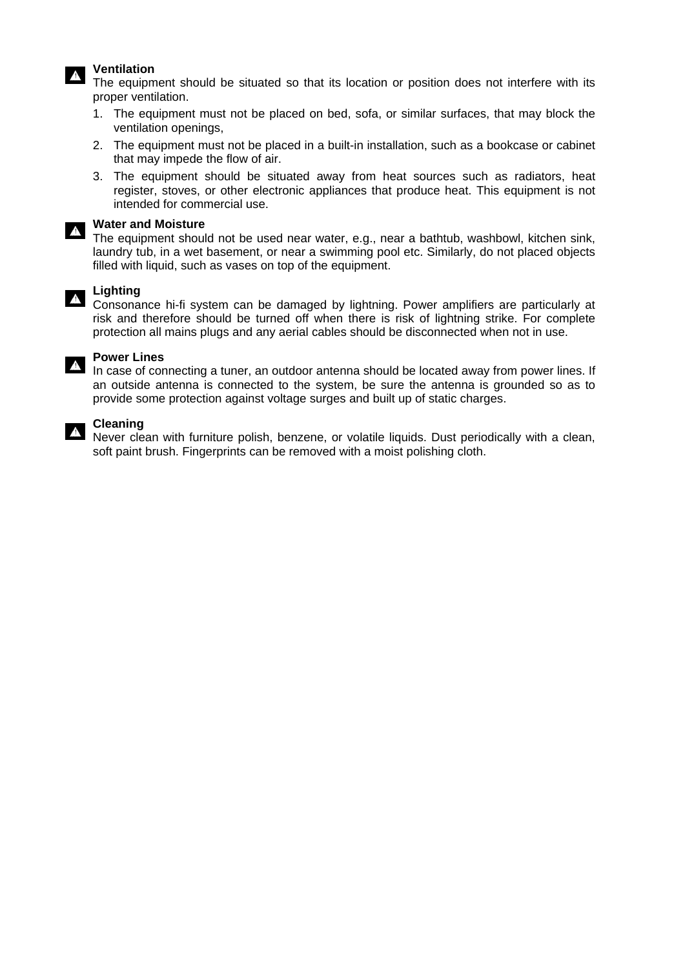#### **Ventilation**

The equipment should be situated so that its location or position does not interfere with its proper ventilation.

- 1. The equipment must not be placed on bed, sofa, or similar surfaces, that may block the ventilation openings,
- 2. The equipment must not be placed in a built-in installation, such as a bookcase or cabinet that may impede the flow of air.
- 3. The equipment should be situated away from heat sources such as radiators, heat register, stoves, or other electronic appliances that produce heat. This equipment is not intended for commercial use.

#### **Water and Moisture**

The equipment should not be used near water, e.g., near a bathtub, washbowl, kitchen sink, laundry tub, in a wet basement, or near a swimming pool etc. Similarly, do not placed objects filled with liquid, such as vases on top of the equipment.

#### **Lighting**

Consonance hi-fi system can be damaged by lightning. Power amplifiers are particularly at risk and therefore should be turned off when there is risk of lightning strike. For complete protection all mains plugs and any aerial cables should be disconnected when not in use.



#### **Power Lines**

In case of connecting a tuner, an outdoor antenna should be located away from power lines. If an outside antenna is connected to the system, be sure the antenna is grounded so as to provide some protection against voltage surges and built up of static charges.

#### **Cleaning**

Never clean with furniture polish, benzene, or volatile liquids. Dust periodically with a clean, soft paint brush. Fingerprints can be removed with a moist polishing cloth.

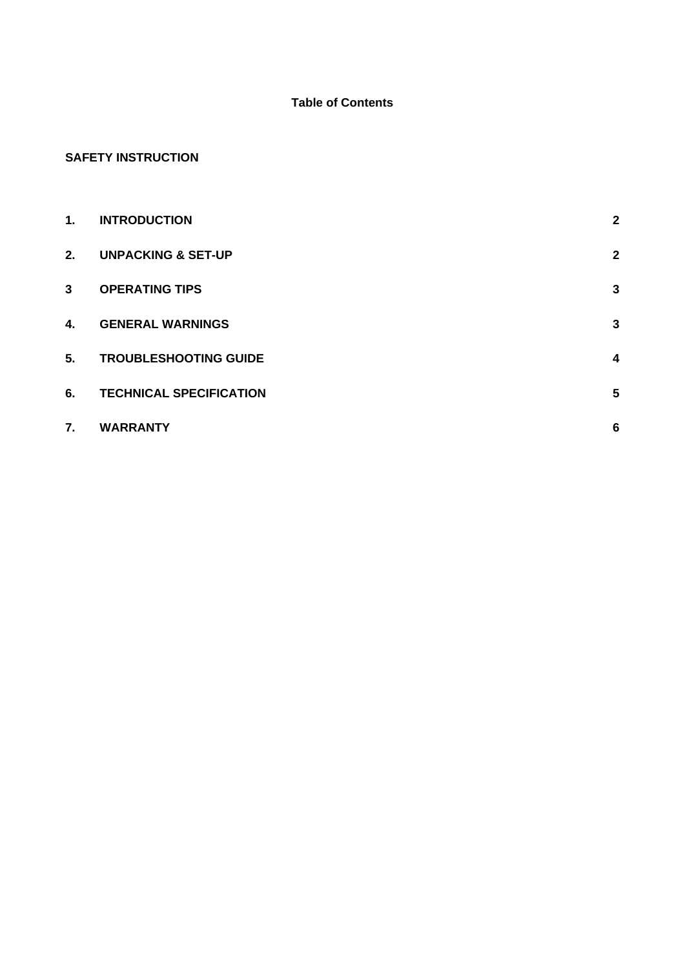# **Table of Contents**

# **SAFETY INSTRUCTION**

| 1.           | <b>INTRODUCTION</b>            | $\mathbf{2}$     |
|--------------|--------------------------------|------------------|
| 2.           | <b>UNPACKING &amp; SET-UP</b>  | $\mathbf{2}$     |
| $\mathbf{3}$ | <b>OPERATING TIPS</b>          | $\mathbf{3}$     |
| 4.           | <b>GENERAL WARNINGS</b>        | $\mathbf{3}$     |
| 5.           | <b>TROUBLESHOOTING GUIDE</b>   | $\boldsymbol{4}$ |
| 6.           | <b>TECHNICAL SPECIFICATION</b> | $5\phantom{1}$   |
| 7.           | <b>WARRANTY</b>                | $6\phantom{1}6$  |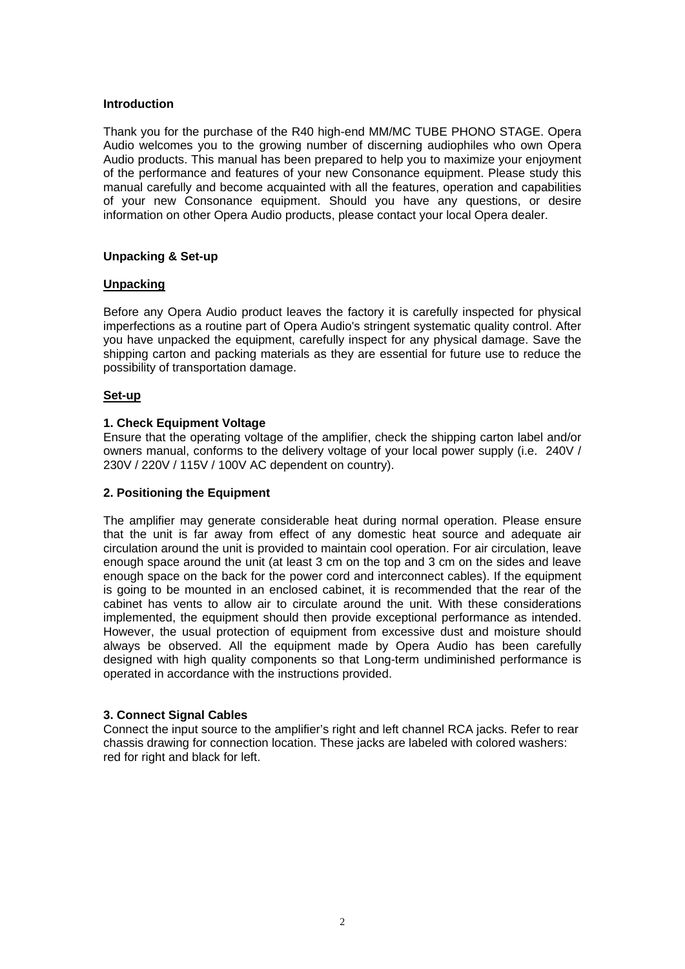#### **Introduction**

Thank you for the purchase of the R40 high-end MM/MC TUBE PHONO STAGE. Opera Audio welcomes you to the growing number of discerning audiophiles who own Opera Audio products. This manual has been prepared to help you to maximize your enjoyment of the performance and features of your new Consonance equipment. Please study this manual carefully and become acquainted with all the features, operation and capabilities of your new Consonance equipment. Should you have any questions, or desire information on other Opera Audio products, please contact your local Opera dealer.

#### **Unpacking & Set-up**

#### **Unpacking**

Before any Opera Audio product leaves the factory it is carefully inspected for physical imperfections as a routine part of Opera Audio's stringent systematic quality control. After you have unpacked the equipment, carefully inspect for any physical damage. Save the shipping carton and packing materials as they are essential for future use to reduce the possibility of transportation damage.

#### **Set-up**

# **1. Check Equipment Voltage**

Ensure that the operating voltage of the amplifier, check the shipping carton label and/or owners manual, conforms to the delivery voltage of your local power supply (i.e. 240V / 230V / 220V / 115V / 100V AC dependent on country).

#### **2. Positioning the Equipment**

The amplifier may generate considerable heat during normal operation. Please ensure that the unit is far away from effect of any domestic heat source and adequate air circulation around the unit is provided to maintain cool operation. For air circulation, leave enough space around the unit (at least 3 cm on the top and 3 cm on the sides and leave enough space on the back for the power cord and interconnect cables). If the equipment is going to be mounted in an enclosed cabinet, it is recommended that the rear of the cabinet has vents to allow air to circulate around the unit. With these considerations implemented, the equipment should then provide exceptional performance as intended. However, the usual protection of equipment from excessive dust and moisture should always be observed. All the equipment made by Opera Audio has been carefully designed with high quality components so that Long-term undiminished performance is operated in accordance with the instructions provided.

#### **3. Connect Signal Cables**

Connect the input source to the amplifier's right and left channel RCA jacks. Refer to rear chassis drawing for connection location. These jacks are labeled with colored washers: red for right and black for left.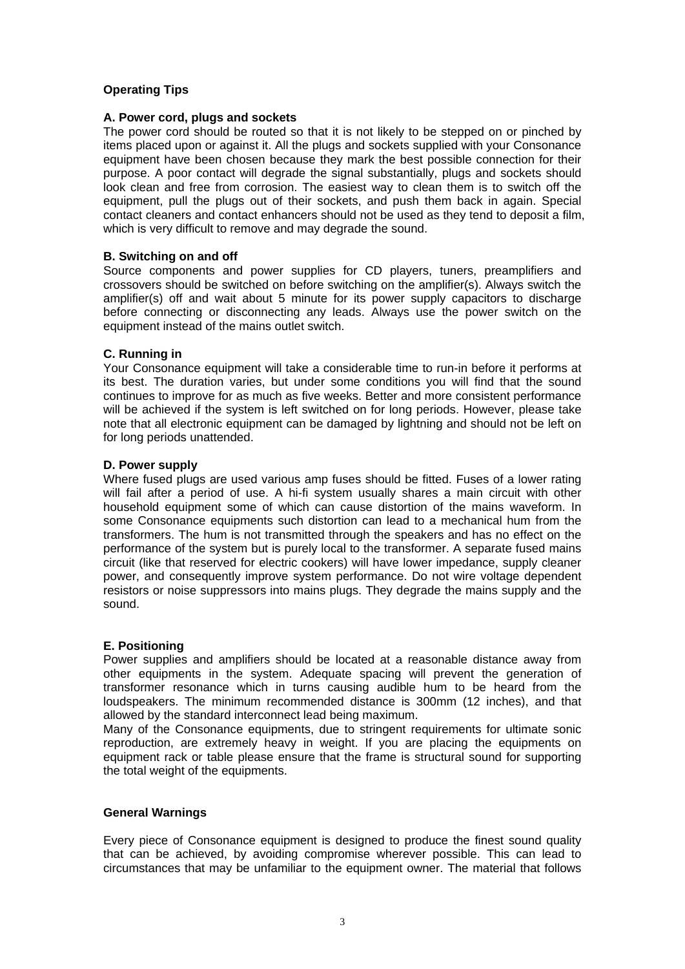# **Operating Tips**

#### **A. Power cord, plugs and sockets**

The power cord should be routed so that it is not likely to be stepped on or pinched by items placed upon or against it. All the plugs and sockets supplied with your Consonance equipment have been chosen because they mark the best possible connection for their purpose. A poor contact will degrade the signal substantially, plugs and sockets should look clean and free from corrosion. The easiest way to clean them is to switch off the equipment, pull the plugs out of their sockets, and push them back in again. Special contact cleaners and contact enhancers should not be used as they tend to deposit a film, which is very difficult to remove and may degrade the sound.

#### **B. Switching on and off**

Source components and power supplies for CD players, tuners, preamplifiers and crossovers should be switched on before switching on the amplifier(s). Always switch the amplifier(s) off and wait about 5 minute for its power supply capacitors to discharge before connecting or disconnecting any leads. Always use the power switch on the equipment instead of the mains outlet switch.

#### **C. Running in**

Your Consonance equipment will take a considerable time to run-in before it performs at its best. The duration varies, but under some conditions you will find that the sound continues to improve for as much as five weeks. Better and more consistent performance will be achieved if the system is left switched on for long periods. However, please take note that all electronic equipment can be damaged by lightning and should not be left on for long periods unattended.

#### **D. Power supply**

Where fused plugs are used various amp fuses should be fitted. Fuses of a lower rating will fail after a period of use. A hi-fi system usually shares a main circuit with other household equipment some of which can cause distortion of the mains waveform. In some Consonance equipments such distortion can lead to a mechanical hum from the transformers. The hum is not transmitted through the speakers and has no effect on the performance of the system but is purely local to the transformer. A separate fused mains circuit (like that reserved for electric cookers) will have lower impedance, supply cleaner power, and consequently improve system performance. Do not wire voltage dependent resistors or noise suppressors into mains plugs. They degrade the mains supply and the sound.

#### **E. Positioning**

Power supplies and amplifiers should be located at a reasonable distance away from other equipments in the system. Adequate spacing will prevent the generation of transformer resonance which in turns causing audible hum to be heard from the loudspeakers. The minimum recommended distance is 300mm (12 inches), and that allowed by the standard interconnect lead being maximum.

Many of the Consonance equipments, due to stringent requirements for ultimate sonic reproduction, are extremely heavy in weight. If you are placing the equipments on equipment rack or table please ensure that the frame is structural sound for supporting the total weight of the equipments.

#### **General Warnings**

Every piece of Consonance equipment is designed to produce the finest sound quality that can be achieved, by avoiding compromise wherever possible. This can lead to circumstances that may be unfamiliar to the equipment owner. The material that follows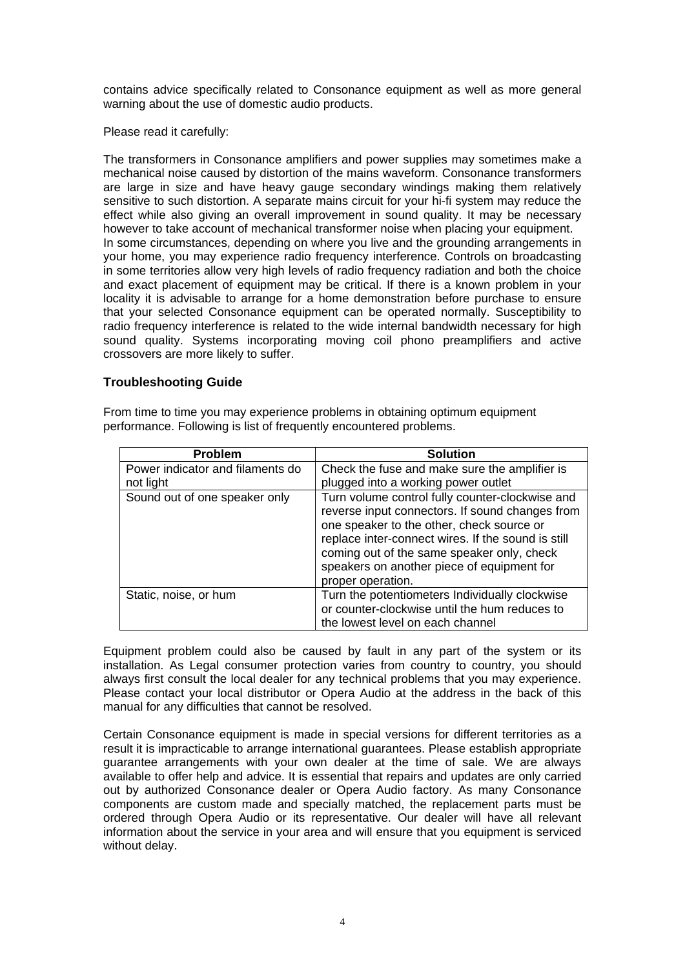contains advice specifically related to Consonance equipment as well as more general warning about the use of domestic audio products.

Please read it carefully:

The transformers in Consonance amplifiers and power supplies may sometimes make a mechanical noise caused by distortion of the mains waveform. Consonance transformers are large in size and have heavy gauge secondary windings making them relatively sensitive to such distortion. A separate mains circuit for your hi-fi system may reduce the effect while also giving an overall improvement in sound quality. It may be necessary however to take account of mechanical transformer noise when placing your equipment. In some circumstances, depending on where you live and the grounding arrangements in your home, you may experience radio frequency interference. Controls on broadcasting in some territories allow very high levels of radio frequency radiation and both the choice and exact placement of equipment may be critical. If there is a known problem in your locality it is advisable to arrange for a home demonstration before purchase to ensure that your selected Consonance equipment can be operated normally. Susceptibility to radio frequency interference is related to the wide internal bandwidth necessary for high sound quality. Systems incorporating moving coil phono preamplifiers and active crossovers are more likely to suffer.

# **Troubleshooting Guide**

From time to time you may experience problems in obtaining optimum equipment performance. Following is list of frequently encountered problems.

| <b>Problem</b>                   | <b>Solution</b>                                                                                                                                                                                                                                                                                                        |
|----------------------------------|------------------------------------------------------------------------------------------------------------------------------------------------------------------------------------------------------------------------------------------------------------------------------------------------------------------------|
| Power indicator and filaments do | Check the fuse and make sure the amplifier is                                                                                                                                                                                                                                                                          |
| not light                        | plugged into a working power outlet                                                                                                                                                                                                                                                                                    |
| Sound out of one speaker only    | Turn volume control fully counter-clockwise and<br>reverse input connectors. If sound changes from<br>one speaker to the other, check source or<br>replace inter-connect wires. If the sound is still<br>coming out of the same speaker only, check<br>speakers on another piece of equipment for<br>proper operation. |
| Static, noise, or hum            | Turn the potentiometers Individually clockwise<br>or counter-clockwise until the hum reduces to<br>the lowest level on each channel                                                                                                                                                                                    |

Equipment problem could also be caused by fault in any part of the system or its installation. As Legal consumer protection varies from country to country, you should always first consult the local dealer for any technical problems that you may experience. Please contact your local distributor or Opera Audio at the address in the back of this manual for any difficulties that cannot be resolved.

Certain Consonance equipment is made in special versions for different territories as a result it is impracticable to arrange international guarantees. Please establish appropriate guarantee arrangements with your own dealer at the time of sale. We are always available to offer help and advice. It is essential that repairs and updates are only carried out by authorized Consonance dealer or Opera Audio factory. As many Consonance components are custom made and specially matched, the replacement parts must be ordered through Opera Audio or its representative. Our dealer will have all relevant information about the service in your area and will ensure that you equipment is serviced without delay.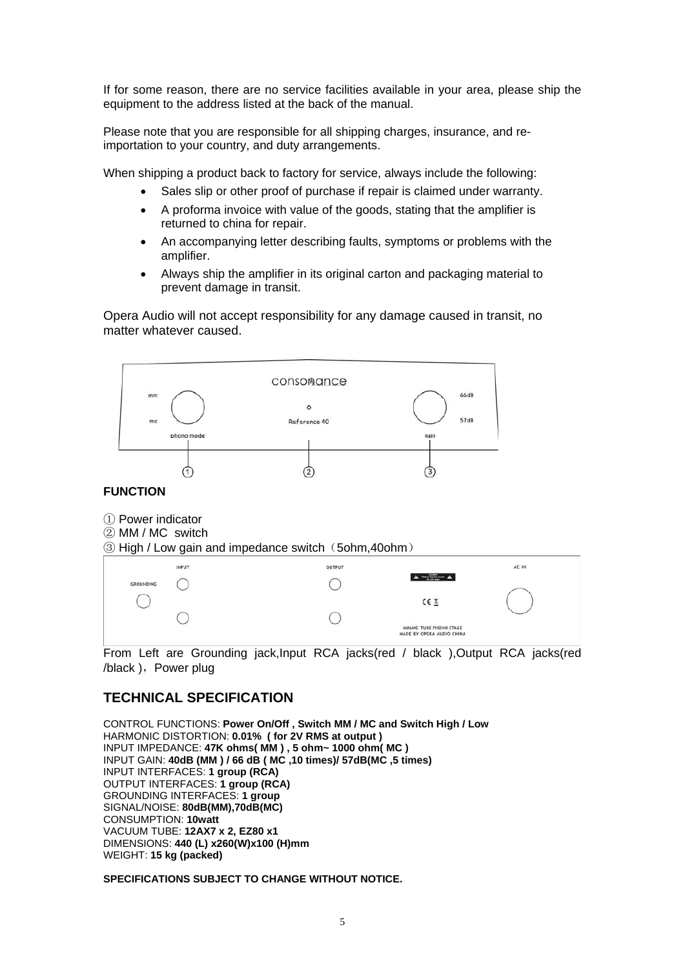If for some reason, there are no service facilities available in your area, please ship the equipment to the address listed at the back of the manual.

Please note that you are responsible for all shipping charges, insurance, and reimportation to your country, and duty arrangements.

When shipping a product back to factory for service, always include the following:

- Sales slip or other proof of purchase if repair is claimed under warranty.
- A proforma invoice with value of the goods, stating that the amplifier is returned to china for repair.
- An accompanying letter describing faults, symptoms or problems with the amplifier.
- Always ship the amplifier in its original carton and packaging material to prevent damage in transit.

Opera Audio will not accept responsibility for any damage caused in transit, no matter whatever caused.



#### **FUNCTION**

- ① Power indicator
- ② MM / MC switch

③ High / Low gain and impedance switch(5ohm,40ohm)

|           | INPUT | OUTPUT |                                                            | AC IN |
|-----------|-------|--------|------------------------------------------------------------|-------|
| GROUNDING |       |        | $\Delta = \frac{1}{2} \left( \frac{1}{2} \right) + \Delta$ |       |
| ×         |       |        | CE                                                         |       |
|           |       |        | <b>SHOWLER</b>                                             |       |
|           |       |        | MMAMC TUBE PHONO STAGE<br>MADE BY OPERA AUDIO CHINA        |       |
|           |       |        |                                                            |       |

From Left are Grounding jack, Input RCA jacks(red / black ), Output RCA jacks(red /black ), Power plug

# **TECHNICAL SPECIFICATION**

CONTROL FUNCTIONS: **Power On/Off , Switch MM / MC and Switch High / Low** HARMONIC DISTORTION: **0.01% ( for 2V RMS at output )**  INPUT IMPEDANCE: **47K ohms( MM ) , 5 ohm~ 1000 ohm( MC )**  INPUT GAIN: **40dB (MM ) / 66 dB ( MC ,10 times)/ 57dB(MC ,5 times)**  INPUT INTERFACES: **1 group (RCA)**  OUTPUT INTERFACES: **1 group (RCA)**  GROUNDING INTERFACES: **1 group** SIGNAL/NOISE: **80dB(MM),70dB(MC)**  CONSUMPTION: **10watt**  VACUUM TUBE: **12AX7 x 2, EZ80 x1**  DIMENSIONS: **440 (L) x260(W)x100 (H)mm**  WEIGHT: **15 kg (packed)** 

**SPECIFICATIONS SUBJECT TO CHANGE WITHOUT NOTICE.**